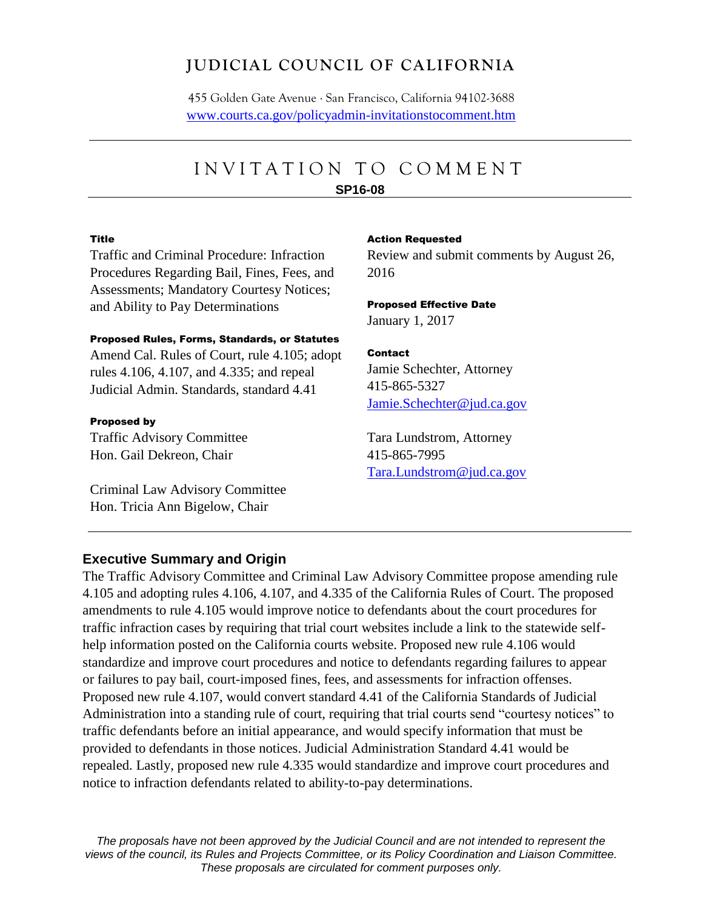# **JUDICIAL COUNCIL OF CALIFORNIA**

455 Golden Gate Avenue . San Francisco, California 94102-3688 [www.courts.ca.gov/policyadmin-invitationstocomment.htm](http://www.courts.ca.gov/policyadmin-invitationstocomment.htm)

# INVITATION TO COMMENT

#### **SP16-08**

#### Title

Traffic and Criminal Procedure: Infraction Procedures Regarding Bail, Fines, Fees, and Assessments; Mandatory Courtesy Notices; and Ability to Pay Determinations

#### Proposed Rules, Forms, Standards, or Statutes

Amend Cal. Rules of Court, rule 4.105; adopt rules 4.106, 4.107, and 4.335; and repeal Judicial Admin. Standards, standard 4.41

#### Proposed by

Traffic Advisory Committee Hon. Gail Dekreon, Chair

Criminal Law Advisory Committee Hon. Tricia Ann Bigelow, Chair

#### Action Requested

Review and submit comments by August 26, 2016

#### Proposed Effective Date January 1, 2017

#### Contact

Jamie Schechter, Attorney 415-865-5327 [Jamie.Schechter@jud.ca.gov](mailto:Jamie.Schechter@jud.ca.gov)

Tara Lundstrom, Attorney 415-865-7995 [Tara.Lundstrom@jud.ca.gov](mailto:Tara.Lundstrom@jud.ca.gov)

#### **Executive Summary and Origin**

The Traffic Advisory Committee and Criminal Law Advisory Committee propose amending rule 4.105 and adopting rules 4.106, 4.107, and 4.335 of the California Rules of Court. The proposed amendments to rule 4.105 would improve notice to defendants about the court procedures for traffic infraction cases by requiring that trial court websites include a link to the statewide selfhelp information posted on the California courts website. Proposed new rule 4.106 would standardize and improve court procedures and notice to defendants regarding failures to appear or failures to pay bail, court-imposed fines, fees, and assessments for infraction offenses. Proposed new rule 4.107, would convert standard 4.41 of the California Standards of Judicial Administration into a standing rule of court, requiring that trial courts send "courtesy notices" to traffic defendants before an initial appearance, and would specify information that must be provided to defendants in those notices. Judicial Administration Standard 4.41 would be repealed. Lastly, proposed new rule 4.335 would standardize and improve court procedures and notice to infraction defendants related to ability-to-pay determinations.

*The proposals have not been approved by the Judicial Council and are not intended to represent the views of the council, its Rules and Projects Committee, or its Policy Coordination and Liaison Committee. These proposals are circulated for comment purposes only.*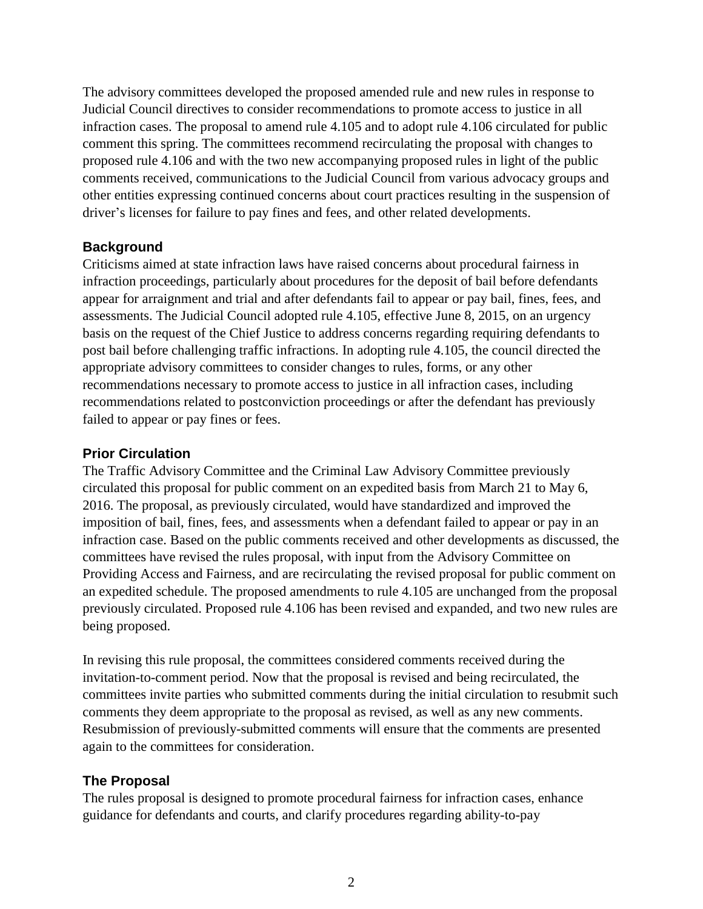The advisory committees developed the proposed amended rule and new rules in response to Judicial Council directives to consider recommendations to promote access to justice in all infraction cases. The proposal to amend rule 4.105 and to adopt rule 4.106 circulated for public comment this spring. The committees recommend recirculating the proposal with changes to proposed rule 4.106 and with the two new accompanying proposed rules in light of the public comments received, communications to the Judicial Council from various advocacy groups and other entities expressing continued concerns about court practices resulting in the suspension of driver's licenses for failure to pay fines and fees, and other related developments.

### **Background**

Criticisms aimed at state infraction laws have raised concerns about procedural fairness in infraction proceedings, particularly about procedures for the deposit of bail before defendants appear for arraignment and trial and after defendants fail to appear or pay bail, fines, fees, and assessments. The Judicial Council adopted rule 4.105, effective June 8, 2015, on an urgency basis on the request of the Chief Justice to address concerns regarding requiring defendants to post bail before challenging traffic infractions. In adopting rule 4.105, the council directed the appropriate advisory committees to consider changes to rules, forms, or any other recommendations necessary to promote access to justice in all infraction cases, including recommendations related to postconviction proceedings or after the defendant has previously failed to appear or pay fines or fees.

#### **Prior Circulation**

The Traffic Advisory Committee and the Criminal Law Advisory Committee previously circulated this proposal for public comment on an expedited basis from March 21 to May 6, 2016. The proposal, as previously circulated, would have standardized and improved the imposition of bail, fines, fees, and assessments when a defendant failed to appear or pay in an infraction case. Based on the public comments received and other developments as discussed, the committees have revised the rules proposal, with input from the Advisory Committee on Providing Access and Fairness, and are recirculating the revised proposal for public comment on an expedited schedule. The proposed amendments to rule 4.105 are unchanged from the proposal previously circulated. Proposed rule 4.106 has been revised and expanded, and two new rules are being proposed.

In revising this rule proposal, the committees considered comments received during the invitation-to-comment period. Now that the proposal is revised and being recirculated, the committees invite parties who submitted comments during the initial circulation to resubmit such comments they deem appropriate to the proposal as revised, as well as any new comments. Resubmission of previously-submitted comments will ensure that the comments are presented again to the committees for consideration.

# **The Proposal**

The rules proposal is designed to promote procedural fairness for infraction cases, enhance guidance for defendants and courts, and clarify procedures regarding ability-to-pay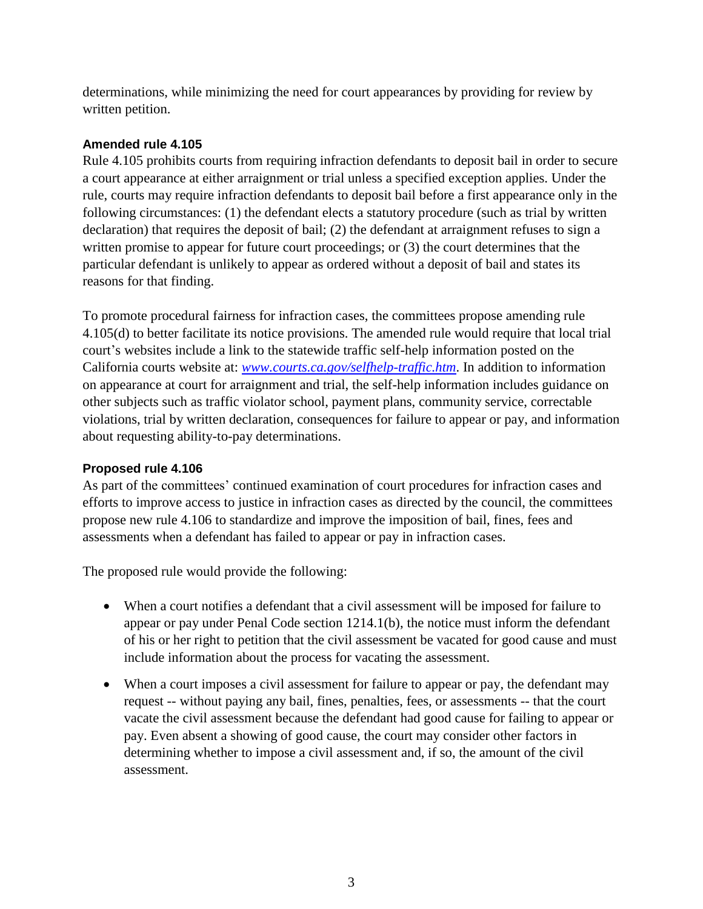determinations, while minimizing the need for court appearances by providing for review by written petition.

# **Amended rule 4.105**

Rule 4.105 prohibits courts from requiring infraction defendants to deposit bail in order to secure a court appearance at either arraignment or trial unless a specified exception applies. Under the rule, courts may require infraction defendants to deposit bail before a first appearance only in the following circumstances: (1) the defendant elects a statutory procedure (such as trial by written declaration) that requires the deposit of bail; (2) the defendant at arraignment refuses to sign a written promise to appear for future court proceedings; or (3) the court determines that the particular defendant is unlikely to appear as ordered without a deposit of bail and states its reasons for that finding.

To promote procedural fairness for infraction cases, the committees propose amending rule 4.105(d) to better facilitate its notice provisions. The amended rule would require that local trial court's websites include a link to the statewide traffic self-help information posted on the California courts website at: *[www.courts.ca.gov/selfhelp-traffic.htm](http://www.courts.ca.gov/selfhelp-traffic.htm)*. In addition to information on appearance at court for arraignment and trial, the self-help information includes guidance on other subjects such as traffic violator school, payment plans, community service, correctable violations, trial by written declaration, consequences for failure to appear or pay, and information about requesting ability-to-pay determinations.

# **Proposed rule 4.106**

As part of the committees' continued examination of court procedures for infraction cases and efforts to improve access to justice in infraction cases as directed by the council, the committees propose new rule 4.106 to standardize and improve the imposition of bail, fines, fees and assessments when a defendant has failed to appear or pay in infraction cases.

The proposed rule would provide the following:

- When a court notifies a defendant that a civil assessment will be imposed for failure to appear or pay under Penal Code section 1214.1(b), the notice must inform the defendant of his or her right to petition that the civil assessment be vacated for good cause and must include information about the process for vacating the assessment.
- When a court imposes a civil assessment for failure to appear or pay, the defendant may request -- without paying any bail, fines, penalties, fees, or assessments -- that the court vacate the civil assessment because the defendant had good cause for failing to appear or pay. Even absent a showing of good cause, the court may consider other factors in determining whether to impose a civil assessment and, if so, the amount of the civil assessment.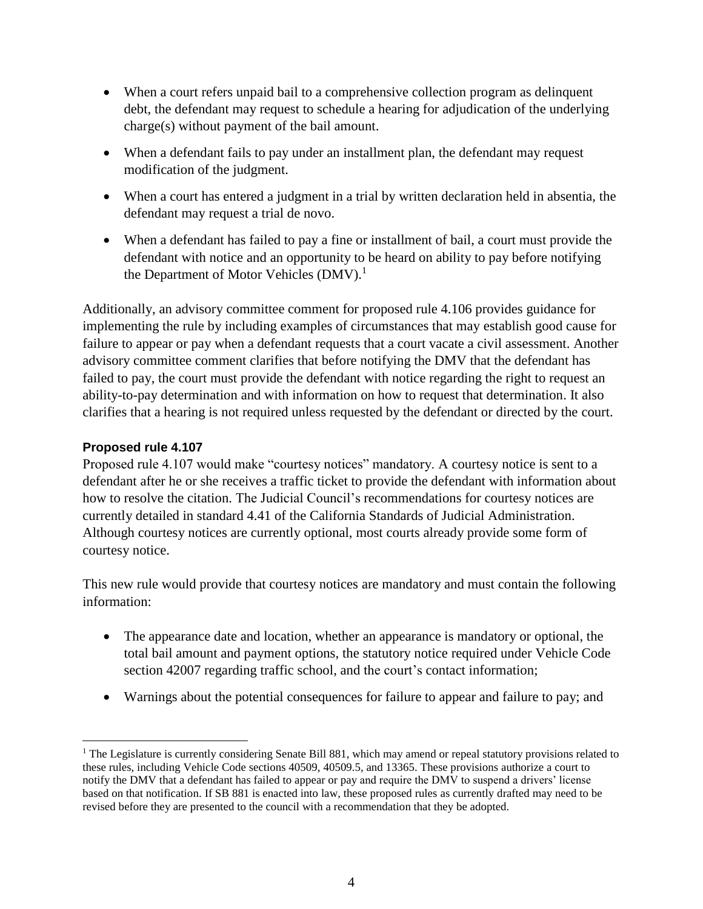- When a court refers unpaid bail to a comprehensive collection program as delinquent debt, the defendant may request to schedule a hearing for adjudication of the underlying charge(s) without payment of the bail amount.
- When a defendant fails to pay under an installment plan, the defendant may request modification of the judgment.
- When a court has entered a judgment in a trial by written declaration held in absentia, the defendant may request a trial de novo.
- When a defendant has failed to pay a fine or installment of bail, a court must provide the defendant with notice and an opportunity to be heard on ability to pay before notifying the Department of Motor Vehicles  $(DMV)<sup>1</sup>$

Additionally, an advisory committee comment for proposed rule 4.106 provides guidance for implementing the rule by including examples of circumstances that may establish good cause for failure to appear or pay when a defendant requests that a court vacate a civil assessment. Another advisory committee comment clarifies that before notifying the DMV that the defendant has failed to pay, the court must provide the defendant with notice regarding the right to request an ability-to-pay determination and with information on how to request that determination. It also clarifies that a hearing is not required unless requested by the defendant or directed by the court.

# **Proposed rule 4.107**

 $\overline{a}$ 

Proposed rule 4.107 would make "courtesy notices" mandatory. A courtesy notice is sent to a defendant after he or she receives a traffic ticket to provide the defendant with information about how to resolve the citation. The Judicial Council's recommendations for courtesy notices are currently detailed in standard 4.41 of the California Standards of Judicial Administration. Although courtesy notices are currently optional, most courts already provide some form of courtesy notice.

This new rule would provide that courtesy notices are mandatory and must contain the following information:

- The appearance date and location, whether an appearance is mandatory or optional, the total bail amount and payment options, the statutory notice required under Vehicle Code section 42007 regarding traffic school, and the court's contact information;
- Warnings about the potential consequences for failure to appear and failure to pay; and

<sup>&</sup>lt;sup>1</sup> The Legislature is currently considering Senate Bill 881, which may amend or repeal statutory provisions related to these rules, including Vehicle Code sections 40509, 40509.5, and 13365. These provisions authorize a court to notify the DMV that a defendant has failed to appear or pay and require the DMV to suspend a drivers' license based on that notification. If SB 881 is enacted into law, these proposed rules as currently drafted may need to be revised before they are presented to the council with a recommendation that they be adopted.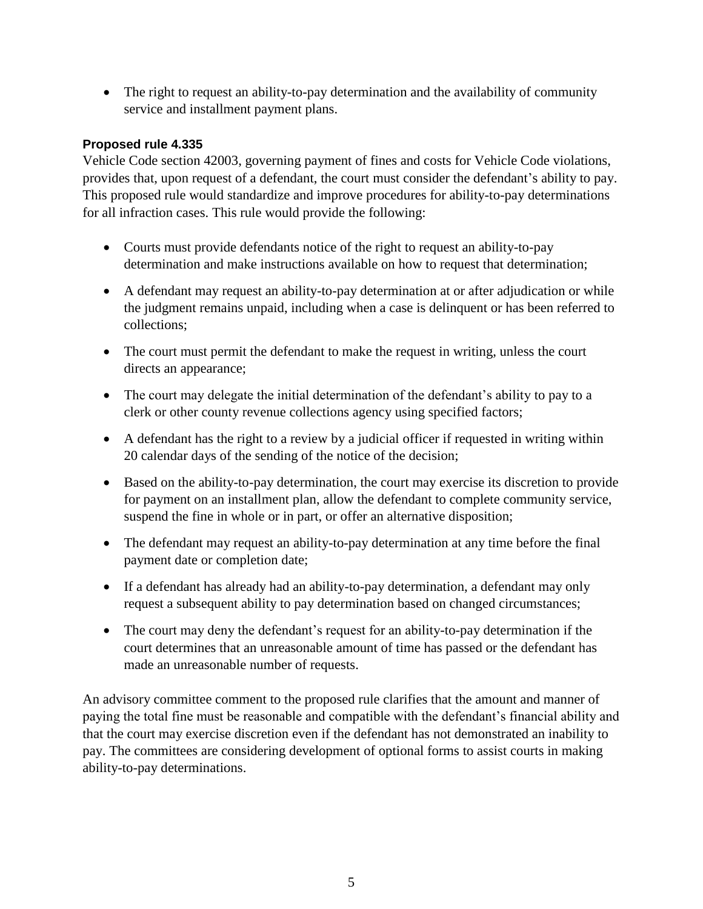• The right to request an ability-to-pay determination and the availability of community service and installment payment plans.

# **Proposed rule 4.335**

Vehicle Code section 42003, governing payment of fines and costs for Vehicle Code violations, provides that, upon request of a defendant, the court must consider the defendant's ability to pay. This proposed rule would standardize and improve procedures for ability-to-pay determinations for all infraction cases. This rule would provide the following:

- Courts must provide defendants notice of the right to request an ability-to-pay determination and make instructions available on how to request that determination;
- A defendant may request an ability-to-pay determination at or after adjudication or while the judgment remains unpaid, including when a case is delinquent or has been referred to collections;
- The court must permit the defendant to make the request in writing, unless the court directs an appearance;
- The court may delegate the initial determination of the defendant's ability to pay to a clerk or other county revenue collections agency using specified factors;
- A defendant has the right to a review by a judicial officer if requested in writing within 20 calendar days of the sending of the notice of the decision;
- Based on the ability-to-pay determination, the court may exercise its discretion to provide for payment on an installment plan, allow the defendant to complete community service, suspend the fine in whole or in part, or offer an alternative disposition;
- The defendant may request an ability-to-pay determination at any time before the final payment date or completion date;
- If a defendant has already had an ability-to-pay determination, a defendant may only request a subsequent ability to pay determination based on changed circumstances;
- The court may deny the defendant's request for an ability-to-pay determination if the court determines that an unreasonable amount of time has passed or the defendant has made an unreasonable number of requests.

An advisory committee comment to the proposed rule clarifies that the amount and manner of paying the total fine must be reasonable and compatible with the defendant's financial ability and that the court may exercise discretion even if the defendant has not demonstrated an inability to pay. The committees are considering development of optional forms to assist courts in making ability-to-pay determinations.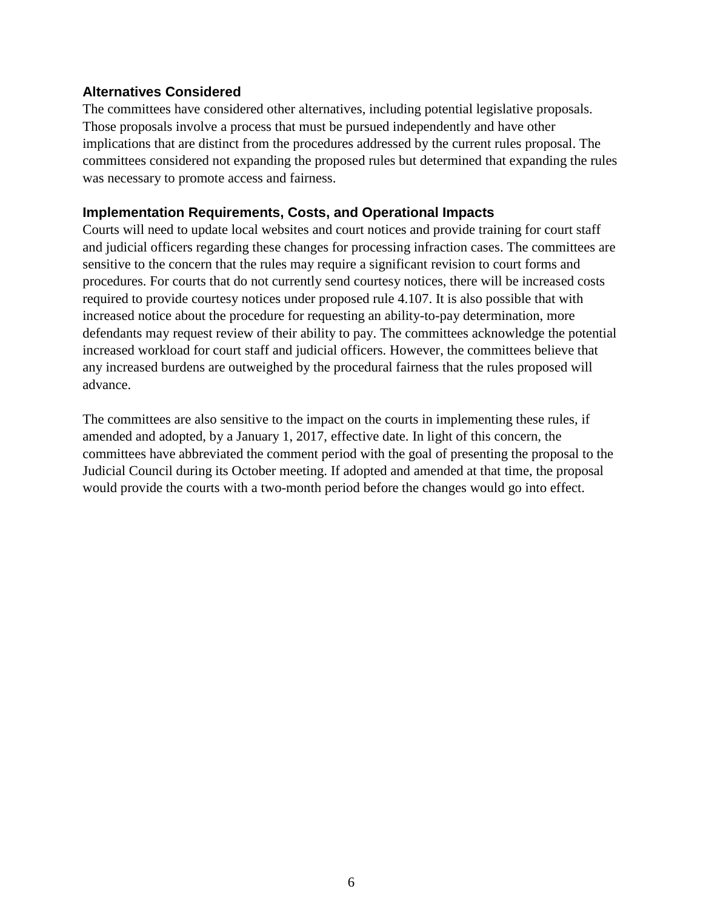# **Alternatives Considered**

The committees have considered other alternatives, including potential legislative proposals. Those proposals involve a process that must be pursued independently and have other implications that are distinct from the procedures addressed by the current rules proposal. The committees considered not expanding the proposed rules but determined that expanding the rules was necessary to promote access and fairness.

# **Implementation Requirements, Costs, and Operational Impacts**

Courts will need to update local websites and court notices and provide training for court staff and judicial officers regarding these changes for processing infraction cases. The committees are sensitive to the concern that the rules may require a significant revision to court forms and procedures. For courts that do not currently send courtesy notices, there will be increased costs required to provide courtesy notices under proposed rule 4.107. It is also possible that with increased notice about the procedure for requesting an ability-to-pay determination, more defendants may request review of their ability to pay. The committees acknowledge the potential increased workload for court staff and judicial officers. However, the committees believe that any increased burdens are outweighed by the procedural fairness that the rules proposed will advance.

The committees are also sensitive to the impact on the courts in implementing these rules, if amended and adopted, by a January 1, 2017, effective date. In light of this concern, the committees have abbreviated the comment period with the goal of presenting the proposal to the Judicial Council during its October meeting. If adopted and amended at that time, the proposal would provide the courts with a two-month period before the changes would go into effect.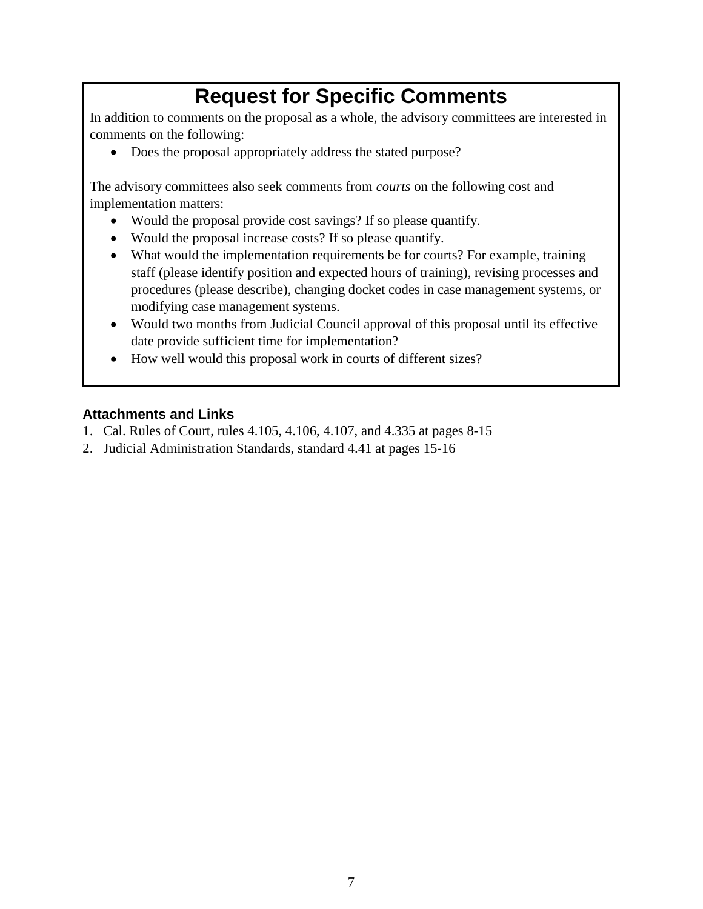# **Request for Specific Comments**

In addition to comments on the proposal as a whole, the advisory committees are interested in comments on the following:

• Does the proposal appropriately address the stated purpose?

The advisory committees also seek comments from *courts* on the following cost and implementation matters:

- Would the proposal provide cost savings? If so please quantify.
- Would the proposal increase costs? If so please quantify.
- What would the implementation requirements be for courts? For example, training staff (please identify position and expected hours of training), revising processes and procedures (please describe), changing docket codes in case management systems, or modifying case management systems.
- Would two months from Judicial Council approval of this proposal until its effective date provide sufficient time for implementation?
- How well would this proposal work in courts of different sizes?

# **Attachments and Links**

- 1. Cal. Rules of Court, rules 4.105, 4.106, 4.107, and 4.335 at pages 8-15
- 2. Judicial Administration Standards, standard 4.41 at pages 15-16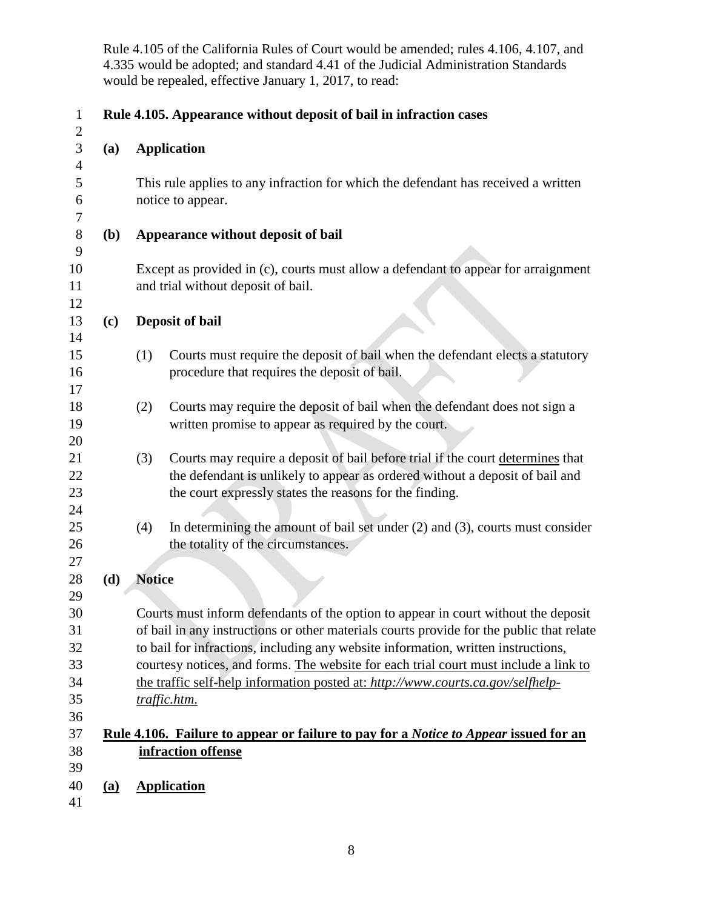Rule 4.105 of the California Rules of Court would be amended; rules 4.106, 4.107, and 4.335 would be adopted; and standard 4.41 of the Judicial Administration Standards would be repealed, effective January 1, 2017, to read:

| $\mathbf{1}$      |            | Rule 4.105. Appearance without deposit of bail in infraction cases                                                |  |  |  |  |
|-------------------|------------|-------------------------------------------------------------------------------------------------------------------|--|--|--|--|
| $\mathbf{2}$<br>3 | (a)        | <b>Application</b>                                                                                                |  |  |  |  |
| $\overline{4}$    |            |                                                                                                                   |  |  |  |  |
| 5<br>6            |            | This rule applies to any infraction for which the defendant has received a written<br>notice to appear.           |  |  |  |  |
| 7                 |            |                                                                                                                   |  |  |  |  |
| 8                 | <b>(b)</b> | Appearance without deposit of bail                                                                                |  |  |  |  |
| 9                 |            |                                                                                                                   |  |  |  |  |
| 10                |            | Except as provided in (c), courts must allow a defendant to appear for arraignment                                |  |  |  |  |
| 11                |            | and trial without deposit of bail.                                                                                |  |  |  |  |
| 12<br>13          | (c)        | Deposit of bail                                                                                                   |  |  |  |  |
| 14                |            |                                                                                                                   |  |  |  |  |
| 15                |            | Courts must require the deposit of bail when the defendant elects a statutory<br>(1)                              |  |  |  |  |
| 16                |            | procedure that requires the deposit of bail.                                                                      |  |  |  |  |
| 17                |            |                                                                                                                   |  |  |  |  |
| 18                |            | Courts may require the deposit of bail when the defendant does not sign a<br>(2)                                  |  |  |  |  |
| 19                |            | written promise to appear as required by the court.                                                               |  |  |  |  |
| 20                |            |                                                                                                                   |  |  |  |  |
| 21                |            | Courts may require a deposit of bail before trial if the court determines that<br>(3)                             |  |  |  |  |
| 22                |            | the defendant is unlikely to appear as ordered without a deposit of bail and                                      |  |  |  |  |
| 23<br>24          |            | the court expressly states the reasons for the finding.                                                           |  |  |  |  |
| 25                |            | In determining the amount of bail set under $(2)$ and $(3)$ , courts must consider<br>(4)                         |  |  |  |  |
| 26                |            | the totality of the circumstances.                                                                                |  |  |  |  |
| 27                |            |                                                                                                                   |  |  |  |  |
| 28                | (d)        | <b>Notice</b>                                                                                                     |  |  |  |  |
| 29                |            |                                                                                                                   |  |  |  |  |
| 30                |            | Courts must inform defendants of the option to appear in court without the deposit                                |  |  |  |  |
| 31                |            | of bail in any instructions or other materials courts provide for the public that relate                          |  |  |  |  |
| 32                |            | to bail for infractions, including any website information, written instructions,                                 |  |  |  |  |
| 33                |            | courtesy notices, and forms. The website for each trial court must include a link to                              |  |  |  |  |
| 34                |            | the traffic self-help information posted at: http://www.courts.ca.gov/selfhelp-                                   |  |  |  |  |
| 35                |            | traffic.htm.                                                                                                      |  |  |  |  |
| 36<br>37          |            |                                                                                                                   |  |  |  |  |
| 38                |            | <u>Rule 4.106. Failure to appear or failure to pay for a Notice to Appear issued for an</u><br>infraction offense |  |  |  |  |
| 39                |            |                                                                                                                   |  |  |  |  |
| 40                | <u>(a)</u> | <b>Application</b>                                                                                                |  |  |  |  |
| 41                |            |                                                                                                                   |  |  |  |  |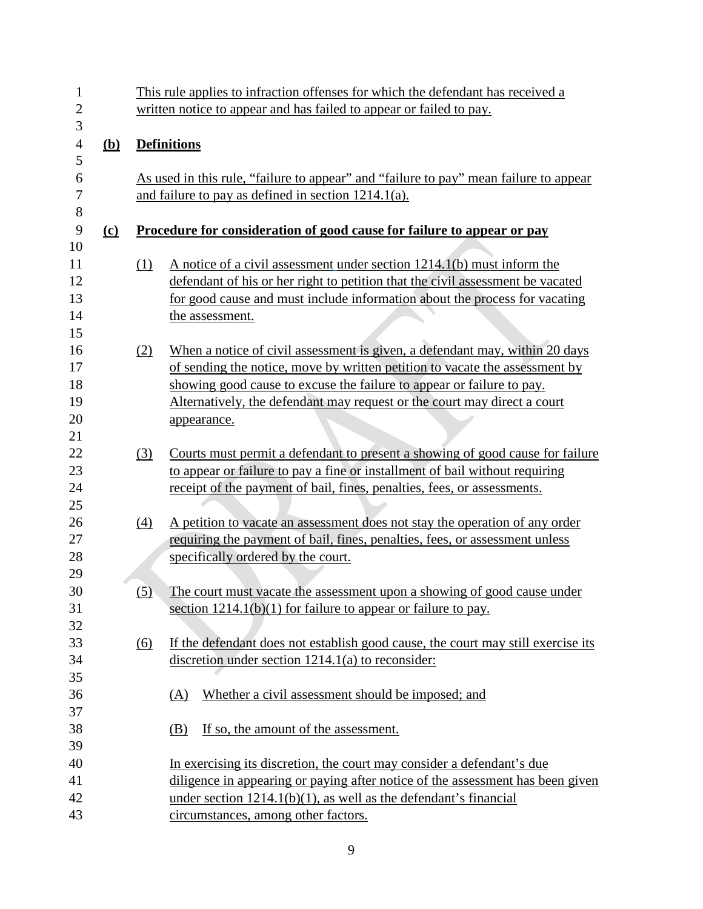| $\mathbf{1}$     |            |                  | This rule applies to infraction offenses for which the defendant has received a       |  |  |  |  |  |
|------------------|------------|------------------|---------------------------------------------------------------------------------------|--|--|--|--|--|
| $\overline{2}$   |            |                  | written notice to appear and has failed to appear or failed to pay.                   |  |  |  |  |  |
| 3                |            |                  |                                                                                       |  |  |  |  |  |
| $\overline{4}$   | <u>(b)</u> |                  | <b>Definitions</b>                                                                    |  |  |  |  |  |
| 5                |            |                  |                                                                                       |  |  |  |  |  |
| 6                |            |                  | As used in this rule, "failure to appear" and "failure to pay" mean failure to appear |  |  |  |  |  |
| $\boldsymbol{7}$ |            |                  | and failure to pay as defined in section $1214.1(a)$ .                                |  |  |  |  |  |
| 8                |            |                  |                                                                                       |  |  |  |  |  |
| 9                | $\Omega$   |                  | <u>Procedure for consideration of good cause for failure to appear or pay</u>         |  |  |  |  |  |
| 10               |            |                  |                                                                                       |  |  |  |  |  |
| 11               |            | (1)              | A notice of a civil assessment under section 1214.1(b) must inform the                |  |  |  |  |  |
| 12               |            |                  | defendant of his or her right to petition that the civil assessment be vacated        |  |  |  |  |  |
| 13               |            |                  | for good cause and must include information about the process for vacating            |  |  |  |  |  |
| 14               |            |                  | the assessment.                                                                       |  |  |  |  |  |
| 15               |            |                  |                                                                                       |  |  |  |  |  |
| 16               |            | (2)              | When a notice of civil assessment is given, a defendant may, within 20 days           |  |  |  |  |  |
| 17               |            |                  | of sending the notice, move by written petition to vacate the assessment by           |  |  |  |  |  |
| 18               |            |                  | showing good cause to excuse the failure to appear or failure to pay.                 |  |  |  |  |  |
| 19               |            |                  | Alternatively, the defendant may request or the court may direct a court              |  |  |  |  |  |
| 20               |            |                  | appearance.                                                                           |  |  |  |  |  |
| 21               |            |                  |                                                                                       |  |  |  |  |  |
| 22               |            | (3)              | Courts must permit a defendant to present a showing of good cause for failure         |  |  |  |  |  |
| 23               |            |                  | to appear or failure to pay a fine or installment of bail without requiring           |  |  |  |  |  |
| 24               |            |                  | receipt of the payment of bail, fines, penalties, fees, or assessments.               |  |  |  |  |  |
| 25               |            |                  |                                                                                       |  |  |  |  |  |
| 26               |            | $\left(4\right)$ | A petition to vacate an assessment does not stay the operation of any order           |  |  |  |  |  |
| 27               |            |                  | requiring the payment of bail, fines, penalties, fees, or assessment unless           |  |  |  |  |  |
| 28               |            |                  | specifically ordered by the court.                                                    |  |  |  |  |  |
| 29               |            |                  |                                                                                       |  |  |  |  |  |
| 30               |            | (5)              | The court must vacate the assessment upon a showing of good cause under               |  |  |  |  |  |
| 31               |            |                  | section $1214.1(b)(1)$ for failure to appear or failure to pay.                       |  |  |  |  |  |
| 32               |            |                  |                                                                                       |  |  |  |  |  |
| 33               |            | (6)              | If the defendant does not establish good cause, the court may still exercise its      |  |  |  |  |  |
| 34               |            |                  | discretion under section 1214.1(a) to reconsider:                                     |  |  |  |  |  |
| 35               |            |                  |                                                                                       |  |  |  |  |  |
| 36               |            |                  | Whether a civil assessment should be imposed; and<br>(A)                              |  |  |  |  |  |
| 37               |            |                  |                                                                                       |  |  |  |  |  |
| 38               |            |                  | If so, the amount of the assessment.<br>(B)                                           |  |  |  |  |  |
| 39               |            |                  |                                                                                       |  |  |  |  |  |
| 40               |            |                  | In exercising its discretion, the court may consider a defendant's due                |  |  |  |  |  |
| 41               |            |                  | diligence in appearing or paying after notice of the assessment has been given        |  |  |  |  |  |
| 42               |            |                  | under section $1214.1(b)(1)$ , as well as the defendant's financial                   |  |  |  |  |  |
| 43               |            |                  | circumstances, among other factors.                                                   |  |  |  |  |  |
|                  |            |                  |                                                                                       |  |  |  |  |  |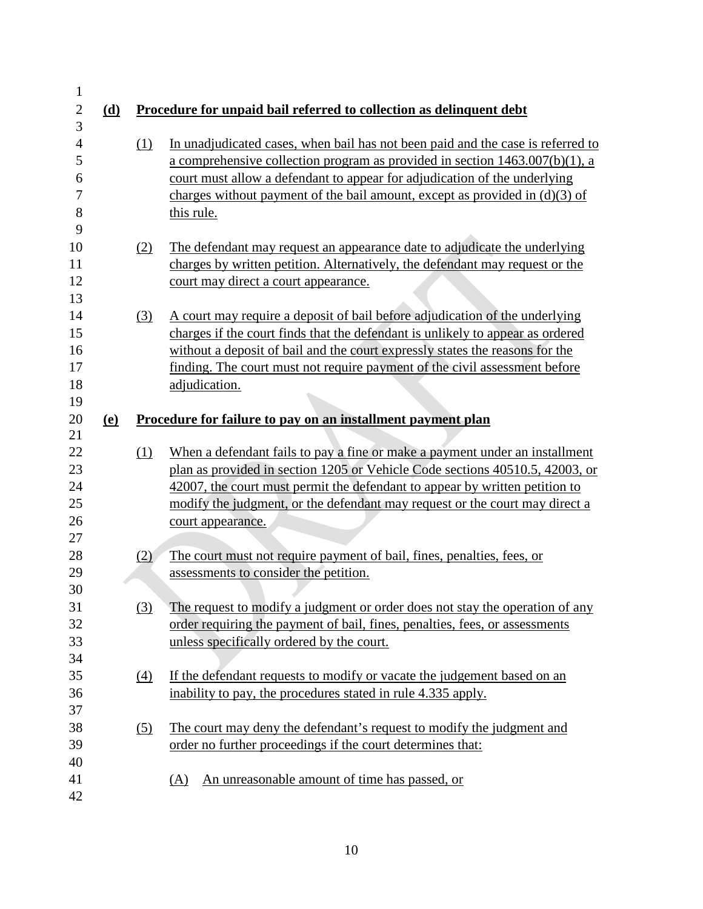| $\mathbf{1}$ |            |     |                                                                                 |
|--------------|------------|-----|---------------------------------------------------------------------------------|
| $\mathbf{2}$ | (d)        |     | Procedure for unpaid bail referred to collection as delinquent debt             |
| 3            |            |     |                                                                                 |
| 4            |            | (1) | In unadjudicated cases, when bail has not been paid and the case is referred to |
| 5            |            |     | a comprehensive collection program as provided in section $1463.007(b)(1)$ , a  |
| 6            |            |     | court must allow a defendant to appear for adjudication of the underlying       |
| 7            |            |     | charges without payment of the bail amount, except as provided in $(d)(3)$ of   |
| 8            |            |     | this rule.                                                                      |
| 9            |            |     |                                                                                 |
| 10           |            | (2) | The defendant may request an appearance date to adjudicate the underlying       |
| 11           |            |     | charges by written petition. Alternatively, the defendant may request or the    |
| 12           |            |     | court may direct a court appearance.                                            |
| 13           |            |     |                                                                                 |
| 14           |            | (3) | A court may require a deposit of bail before adjudication of the underlying     |
| 15           |            |     | charges if the court finds that the defendant is unlikely to appear as ordered  |
| 16           |            |     | without a deposit of bail and the court expressly states the reasons for the    |
| 17           |            |     | finding. The court must not require payment of the civil assessment before      |
| 18           |            |     | adjudication.                                                                   |
| 19           |            |     |                                                                                 |
| 20           | <u>(e)</u> |     | Procedure for failure to pay on an installment payment plan                     |
| 21           |            |     |                                                                                 |
| 22           |            | (1) | When a defendant fails to pay a fine or make a payment under an installment     |
| 23           |            |     | plan as provided in section 1205 or Vehicle Code sections 40510.5, 42003, or    |
| 24           |            |     | 42007, the court must permit the defendant to appear by written petition to     |
| 25           |            |     | modify the judgment, or the defendant may request or the court may direct a     |
| 26           |            |     | court appearance.                                                               |
| 27           |            |     |                                                                                 |
| 28           |            | (2) | The court must not require payment of bail, fines, penalties, fees, or          |
| 29           |            |     | assessments to consider the petition.                                           |
| 30           |            |     |                                                                                 |
| 31           |            | (3) | The request to modify a judgment or order does not stay the operation of any    |
| 32           |            |     | order requiring the payment of bail, fines, penalties, fees, or assessments     |
| 33           |            |     | unless specifically ordered by the court.                                       |
| 34           |            |     |                                                                                 |
| 35           |            | (4) | If the defendant requests to modify or vacate the judgement based on an         |
| 36           |            |     | inability to pay, the procedures stated in rule 4.335 apply.                    |
| 37           |            |     |                                                                                 |
| 38           |            | (5) | The court may deny the defendant's request to modify the judgment and           |
| 39           |            |     | order no further proceedings if the court determines that:                      |
| 40           |            |     |                                                                                 |
| 41           |            |     | An unreasonable amount of time has passed, or<br>(A)                            |
| 42           |            |     |                                                                                 |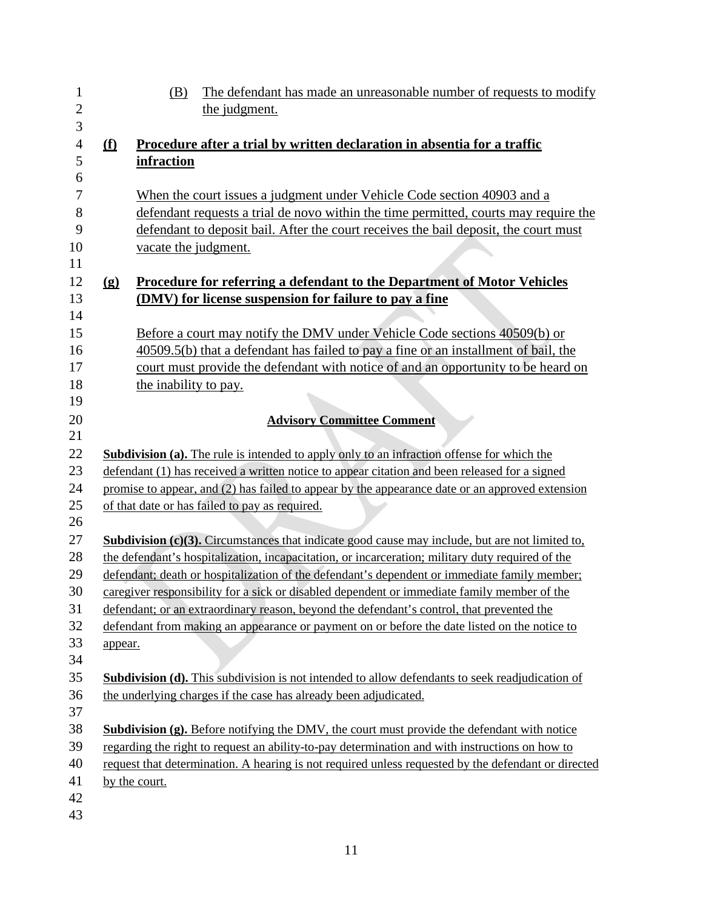| $\overline{c}$<br>3<br>$\overline{4}$ | the judgment.                                                                                                                                                                                                                                                                                                                |
|---------------------------------------|------------------------------------------------------------------------------------------------------------------------------------------------------------------------------------------------------------------------------------------------------------------------------------------------------------------------------|
|                                       |                                                                                                                                                                                                                                                                                                                              |
|                                       |                                                                                                                                                                                                                                                                                                                              |
|                                       | Procedure after a trial by written declaration in absentia for a traffic<br>f                                                                                                                                                                                                                                                |
| 5                                     | infraction                                                                                                                                                                                                                                                                                                                   |
| 6                                     |                                                                                                                                                                                                                                                                                                                              |
| $\tau$                                | When the court issues a judgment under Vehicle Code section 40903 and a                                                                                                                                                                                                                                                      |
| 8                                     | defendant requests a trial de novo within the time permitted, courts may require the                                                                                                                                                                                                                                         |
| 9                                     | defendant to deposit bail. After the court receives the bail deposit, the court must                                                                                                                                                                                                                                         |
| 10                                    | vacate the judgment.                                                                                                                                                                                                                                                                                                         |
| 11                                    |                                                                                                                                                                                                                                                                                                                              |
| 12                                    | <b>Procedure for referring a defendant to the Department of Motor Vehicles</b><br>$\Omega$                                                                                                                                                                                                                                   |
| 13                                    | (DMV) for license suspension for failure to pay a fine                                                                                                                                                                                                                                                                       |
| 14                                    |                                                                                                                                                                                                                                                                                                                              |
| 15                                    | Before a court may notify the DMV under Vehicle Code sections 40509(b) or                                                                                                                                                                                                                                                    |
| 16                                    | 40509.5(b) that a defendant has failed to pay a fine or an installment of bail, the                                                                                                                                                                                                                                          |
| 17                                    | court must provide the defendant with notice of and an opportunity to be heard on                                                                                                                                                                                                                                            |
| 18                                    | the inability to pay.                                                                                                                                                                                                                                                                                                        |
| 19                                    |                                                                                                                                                                                                                                                                                                                              |
| 20                                    | <b>Advisory Committee Comment</b>                                                                                                                                                                                                                                                                                            |
| 21                                    |                                                                                                                                                                                                                                                                                                                              |
| 22                                    | Subdivision (a). The rule is intended to apply only to an infraction offense for which the                                                                                                                                                                                                                                   |
| 23                                    | defendant (1) has received a written notice to appear citation and been released for a signed                                                                                                                                                                                                                                |
| 24                                    | promise to appear, and (2) has failed to appear by the appearance date or an approved extension                                                                                                                                                                                                                              |
| 25                                    | of that date or has failed to pay as required.                                                                                                                                                                                                                                                                               |
| 26                                    |                                                                                                                                                                                                                                                                                                                              |
| 27                                    | <b>Subdivision (c)(3).</b> Circumstances that indicate good cause may include, but are not limited to,                                                                                                                                                                                                                       |
| 28                                    | the defendant's hospitalization, incapacitation, or incarceration; military duty required of the                                                                                                                                                                                                                             |
| 29                                    | defendant; death or hospitalization of the defendant's dependent or immediate family member;                                                                                                                                                                                                                                 |
| 30                                    | caregiver responsibility for a sick or disabled dependent or immediate family member of the                                                                                                                                                                                                                                  |
| 31                                    | defendant; or an extraordinary reason, beyond the defendant's control, that prevented the                                                                                                                                                                                                                                    |
| 32                                    | defendant from making an appearance or payment on or before the date listed on the notice to                                                                                                                                                                                                                                 |
| 33                                    | appear.                                                                                                                                                                                                                                                                                                                      |
| 34                                    |                                                                                                                                                                                                                                                                                                                              |
| 35                                    | <b>Subdivision (d).</b> This subdivision is not intended to allow defendants to seek readjudication of                                                                                                                                                                                                                       |
| 36                                    | the underlying charges if the case has already been adjudicated.                                                                                                                                                                                                                                                             |
|                                       |                                                                                                                                                                                                                                                                                                                              |
|                                       |                                                                                                                                                                                                                                                                                                                              |
|                                       |                                                                                                                                                                                                                                                                                                                              |
|                                       |                                                                                                                                                                                                                                                                                                                              |
|                                       |                                                                                                                                                                                                                                                                                                                              |
| 42                                    |                                                                                                                                                                                                                                                                                                                              |
|                                       |                                                                                                                                                                                                                                                                                                                              |
| 37<br>38<br>39<br>40<br>41            | <b>Subdivision (g).</b> Before notifying the DMV, the court must provide the defendant with notice<br>regarding the right to request an ability-to-pay determination and with instructions on how to<br>request that determination. A hearing is not required unless requested by the defendant or directed<br>by the court. |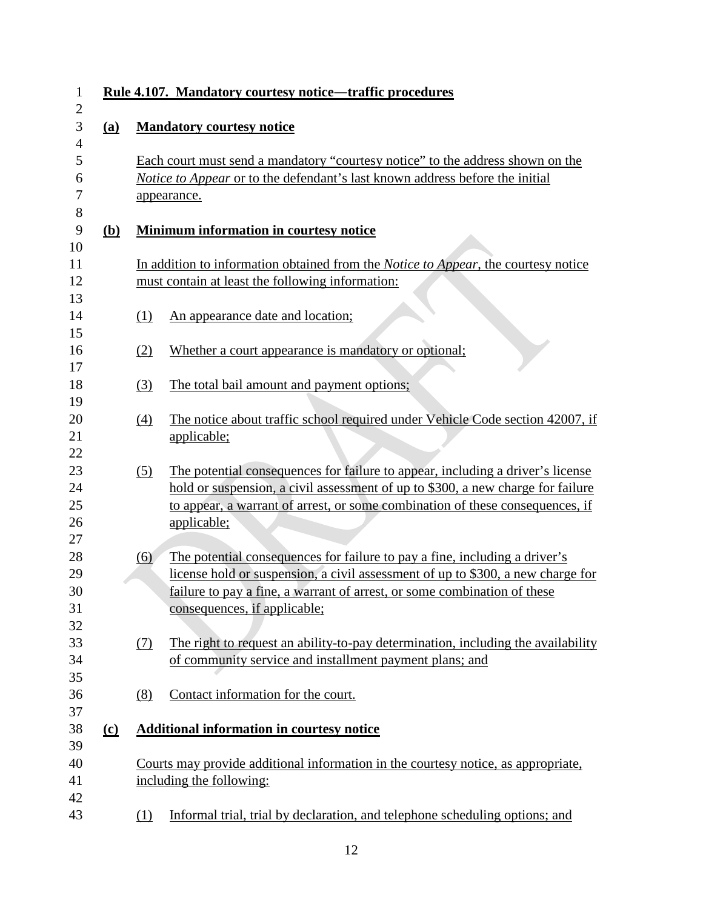|            |                  | Rule 4.107. Mandatory courtesy notice—traffic procedures                                                                                                                                                                                                                  |  |  |  |  |
|------------|------------------|---------------------------------------------------------------------------------------------------------------------------------------------------------------------------------------------------------------------------------------------------------------------------|--|--|--|--|
| (a)        |                  | <b>Mandatory courtesy notice</b>                                                                                                                                                                                                                                          |  |  |  |  |
|            |                  | Each court must send a mandatory "courtesy notice" to the address shown on the<br>Notice to Appear or to the defendant's last known address before the initial<br>appearance.                                                                                             |  |  |  |  |
| <u>(b)</u> |                  | <b>Minimum information in courtesy notice</b>                                                                                                                                                                                                                             |  |  |  |  |
|            |                  | In addition to information obtained from the <i>Notice to Appear</i> , the courtesy notice<br>must contain at least the following information:                                                                                                                            |  |  |  |  |
|            | (1)              | An appearance date and location;                                                                                                                                                                                                                                          |  |  |  |  |
|            | (2)              | Whether a court appearance is mandatory or optional;                                                                                                                                                                                                                      |  |  |  |  |
|            | (3)              | The total bail amount and payment options;                                                                                                                                                                                                                                |  |  |  |  |
|            | (4)              | The notice about traffic school required under Vehicle Code section 42007, if<br>applicable;                                                                                                                                                                              |  |  |  |  |
|            | <u>(5)</u>       | The potential consequences for failure to appear, including a driver's license<br>hold or suspension, a civil assessment of up to \$300, a new charge for failure<br>to appear, a warrant of arrest, or some combination of these consequences, if<br>applicable;         |  |  |  |  |
|            | $\overline{(6)}$ | The potential consequences for failure to pay a fine, including a driver's<br>license hold or suspension, a civil assessment of up to \$300, a new charge for<br>failure to pay a fine, a warrant of arrest, or some combination of these<br>consequences, if applicable; |  |  |  |  |
|            | (7)              | The right to request an ability-to-pay determination, including the availability<br>of community service and installment payment plans; and                                                                                                                               |  |  |  |  |
|            | (8)              | Contact information for the court.                                                                                                                                                                                                                                        |  |  |  |  |
| $\Omega$   |                  | <b>Additional information in courtesy notice</b>                                                                                                                                                                                                                          |  |  |  |  |
|            |                  | Courts may provide additional information in the courtesy notice, as appropriate,<br>including the following:                                                                                                                                                             |  |  |  |  |
|            | (1)              | Informal trial, trial by declaration, and telephone scheduling options; and                                                                                                                                                                                               |  |  |  |  |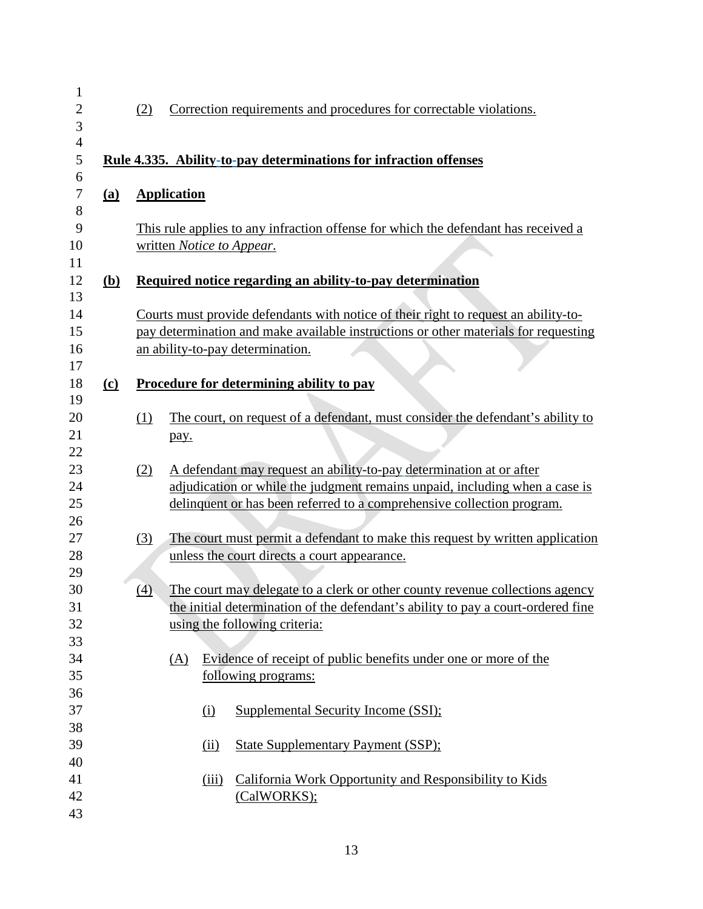| $\mathbf{1}$     |            |                                                                                       |  |
|------------------|------------|---------------------------------------------------------------------------------------|--|
| $\overline{c}$   |            | Correction requirements and procedures for correctable violations.<br>(2)             |  |
| 3                |            |                                                                                       |  |
| $\overline{4}$   |            |                                                                                       |  |
| 5                |            | Rule 4.335. Ability-to-pay determinations for infraction offenses                     |  |
| 6                |            |                                                                                       |  |
| $\boldsymbol{7}$ | (a)        | <b>Application</b>                                                                    |  |
| 8                |            |                                                                                       |  |
| 9                |            | This rule applies to any infraction offense for which the defendant has received a    |  |
| 10<br>11         |            | written Notice to Appear.                                                             |  |
| 12               | <u>(b)</u> | Required notice regarding an ability-to-pay determination                             |  |
| 13               |            |                                                                                       |  |
| 14               |            | Courts must provide defendants with notice of their right to request an ability-to-   |  |
| 15               |            | pay determination and make available instructions or other materials for requesting   |  |
| 16               |            | an ability-to-pay determination.                                                      |  |
| 17               |            |                                                                                       |  |
| 18<br>19         | $\Omega$   | <b>Procedure for determining ability to pay</b>                                       |  |
| 20               |            | The court, on request of a defendant, must consider the defendant's ability to<br>(1) |  |
| 21               |            |                                                                                       |  |
| 22               |            | pay.                                                                                  |  |
| 23               |            | A defendant may request an ability-to-pay determination at or after<br>(2)            |  |
| 24               |            | adjudication or while the judgment remains unpaid, including when a case is           |  |
| 25               |            | delinquent or has been referred to a comprehensive collection program.                |  |
| 26               |            |                                                                                       |  |
| 27               |            | The court must permit a defendant to make this request by written application<br>(3)  |  |
| 28               |            | unless the court directs a court appearance.                                          |  |
| 29               |            |                                                                                       |  |
| 30               |            | The court may delegate to a clerk or other county revenue collections agency<br>(4)   |  |
| 31               |            | the initial determination of the defendant's ability to pay a court-ordered fine      |  |
| 32               |            | using the following criteria:                                                         |  |
| 33               |            |                                                                                       |  |
| 34               |            | Evidence of receipt of public benefits under one or more of the<br>(A)                |  |
| 35               |            | following programs:                                                                   |  |
| 36               |            |                                                                                       |  |
| 37               |            | <b>Supplemental Security Income (SSI):</b><br><u>(i)</u>                              |  |
| 38               |            |                                                                                       |  |
| 39               |            | (ii)<br><b>State Supplementary Payment (SSP):</b>                                     |  |
| 40               |            |                                                                                       |  |
| 41               |            | California Work Opportunity and Responsibility to Kids<br>(iii)                       |  |
| 42               |            | (CalWORKS);                                                                           |  |
| 43               |            |                                                                                       |  |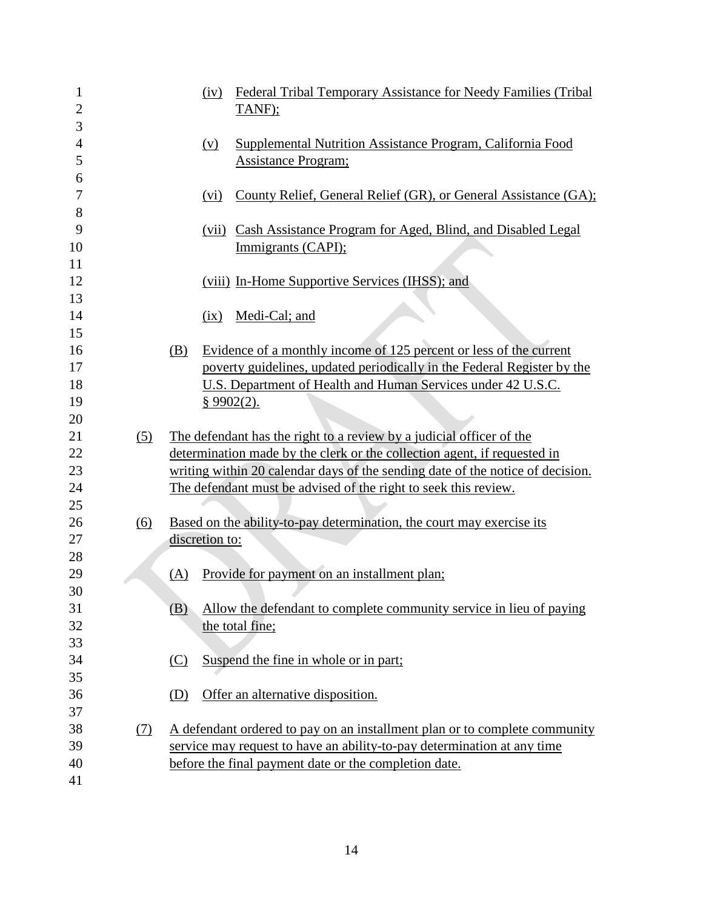| 1              |     |                | (iv)       | Federal Tribal Temporary Assistance for Needy Families (Tribal                 |
|----------------|-----|----------------|------------|--------------------------------------------------------------------------------|
| $\overline{2}$ |     |                |            | TANF);                                                                         |
| 3              |     |                |            |                                                                                |
| $\overline{4}$ |     |                | (v)        | Supplemental Nutrition Assistance Program, California Food                     |
| 5              |     |                |            | <b>Assistance Program;</b>                                                     |
| 6              |     |                |            |                                                                                |
| 7              |     |                | (vi)       | County Relief, General Relief (GR), or General Assistance (GA);                |
| 8              |     |                |            |                                                                                |
| 9              |     |                | (vii)      | Cash Assistance Program for Aged, Blind, and Disabled Legal                    |
| 10             |     |                |            | Immigrants (CAPI);                                                             |
| 11             |     |                |            |                                                                                |
| 12             |     |                |            | (viii) In-Home Supportive Services (IHSS); and                                 |
| 13             |     |                |            |                                                                                |
| 14             |     |                | (ix)       | Medi-Cal; and                                                                  |
| 15             |     |                |            |                                                                                |
| 16             |     | (B)            |            | Evidence of a monthly income of 125 percent or less of the current             |
| 17             |     |                |            | poverty guidelines, updated periodically in the Federal Register by the        |
| 18             |     |                |            | U.S. Department of Health and Human Services under 42 U.S.C.                   |
| 19             |     |                | § 9902(2). |                                                                                |
| 20             |     |                |            |                                                                                |
| 21             | (5) |                |            | The defendant has the right to a review by a judicial officer of the           |
| 22             |     |                |            | determination made by the clerk or the collection agent, if requested in       |
| 23             |     |                |            | writing within 20 calendar days of the sending date of the notice of decision. |
| 24             |     |                |            | The defendant must be advised of the right to seek this review.                |
| 25             |     |                |            |                                                                                |
| 26             | (6) |                |            | Based on the ability-to-pay determination, the court may exercise its          |
| 27             |     | discretion to: |            |                                                                                |
| 28             |     |                |            |                                                                                |
| 29             |     | (A)            |            | Provide for payment on an installment plan;                                    |
| 30             |     |                |            |                                                                                |
| 31             |     | (B)            |            | Allow the defendant to complete community service in lieu of paying            |
| 32             |     |                |            | the total fine;                                                                |
| 33             |     |                |            |                                                                                |
| 34             |     | (C)            |            | Suspend the fine in whole or in part;                                          |
| 35             |     |                |            |                                                                                |
| 36             |     | (D)            |            | Offer an alternative disposition.                                              |
| 37             |     |                |            |                                                                                |
| 38             | (7) |                |            | A defendant ordered to pay on an installment plan or to complete community     |
| 39             |     |                |            | service may request to have an ability-to-pay determination at any time        |
| 40             |     |                |            | before the final payment date or the completion date.                          |
| 41             |     |                |            |                                                                                |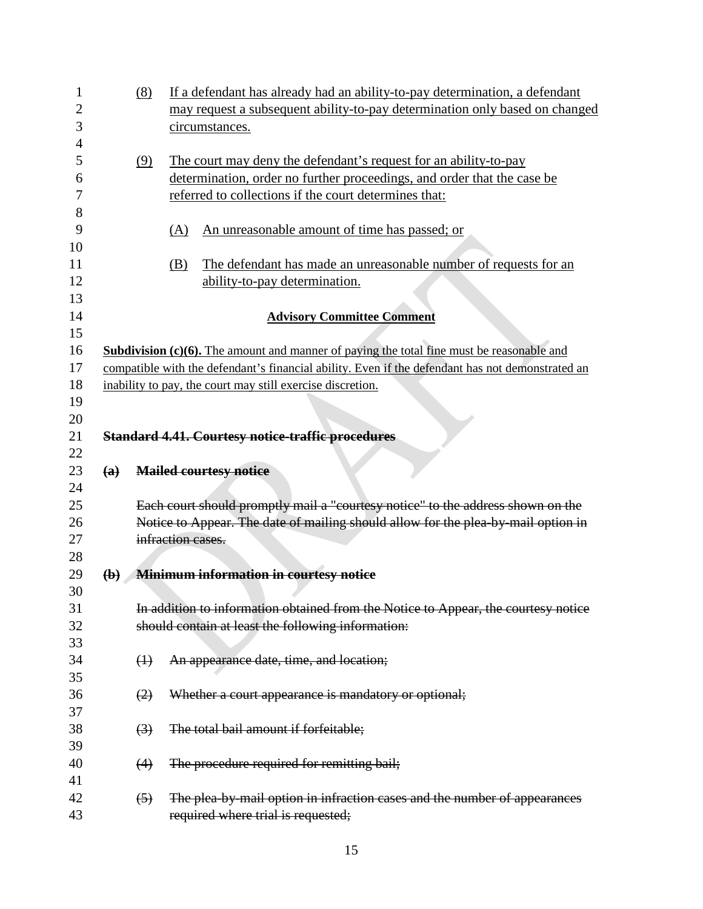| 1        |             | (8)               | If a defendant has already had an ability-to-pay determination, a defendant                                   |
|----------|-------------|-------------------|---------------------------------------------------------------------------------------------------------------|
| 2        |             |                   | may request a subsequent ability-to-pay determination only based on changed                                   |
| 3        |             |                   | circumstances.                                                                                                |
| 4        |             |                   |                                                                                                               |
| 5        |             | (9)               | The court may deny the defendant's request for an ability-to-pay                                              |
| 6        |             |                   | determination, order no further proceedings, and order that the case be                                       |
| 7        |             |                   | referred to collections if the court determines that:                                                         |
| 8        |             |                   |                                                                                                               |
| 9        |             |                   | An unreasonable amount of time has passed; or<br>(A)                                                          |
| 10       |             |                   |                                                                                                               |
| 11       |             |                   | The defendant has made an unreasonable number of requests for an<br>(B)                                       |
| 12       |             |                   | ability-to-pay determination.                                                                                 |
| 13       |             |                   |                                                                                                               |
| 14<br>15 |             |                   | <b>Advisory Committee Comment</b>                                                                             |
| 16       |             |                   | <b>Subdivision <math>(c)(6)</math>.</b> The amount and manner of paying the total fine must be reasonable and |
| 17       |             |                   | compatible with the defendant's financial ability. Even if the defendant has not demonstrated an              |
| 18       |             |                   | inability to pay, the court may still exercise discretion.                                                    |
|          |             |                   |                                                                                                               |
|          |             |                   |                                                                                                               |
| 19       |             |                   |                                                                                                               |
| 20       |             |                   |                                                                                                               |
| 21       |             |                   | <b>Standard 4.41. Courtesy notice-traffic procedures</b>                                                      |
| 22       |             |                   |                                                                                                               |
| 23<br>24 | (a)         |                   | <b>Mailed courtesy notice</b>                                                                                 |
| 25       |             |                   | Each court should promptly mail a "courtesy notice" to the address shown on the                               |
| 26       |             |                   |                                                                                                               |
| 27       |             |                   | Notice to Appear. The date of mailing should allow for the plea-by-mail option in<br>infraction cases.        |
| 28       |             |                   |                                                                                                               |
| 29       | $\bigoplus$ |                   |                                                                                                               |
| 30       |             |                   | <b>Minimum information in courtesy notice</b>                                                                 |
| 31       |             |                   | In addition to information obtained from the Notice to Appear, the courtesy notice                            |
| 32       |             |                   | should contain at least the following information:                                                            |
| 33       |             |                   |                                                                                                               |
| 34       |             |                   |                                                                                                               |
| 35       |             | $\leftrightarrow$ | An appearance date, time, and location;                                                                       |
| 36       |             |                   |                                                                                                               |
| 37       |             | (2)               | Whether a court appearance is mandatory or optional;                                                          |
| 38       |             |                   |                                                                                                               |
| 39       |             | $\left(3\right)$  | The total bail amount if forfeitable;                                                                         |
| 40       |             |                   |                                                                                                               |
| 41       |             | (4)               | The procedure required for remitting bail;                                                                    |
| 42       |             | $\left(5\right)$  | The plea-by-mail option in infraction cases and the number of appearances                                     |